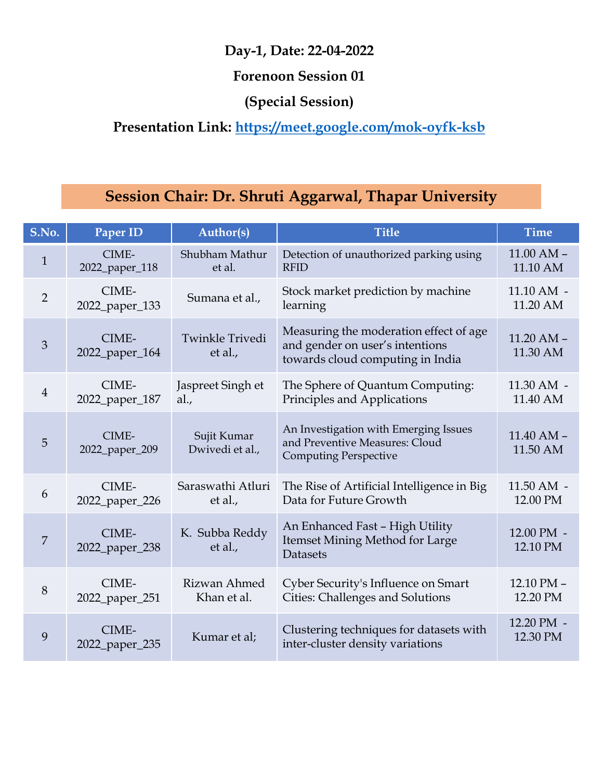# Presentation Link: https://meet.google.com/mok-oyfk-ksb

|                | Day-1, Date: 22-04-2022                                 |                                |                                                                                                               |                            |  |
|----------------|---------------------------------------------------------|--------------------------------|---------------------------------------------------------------------------------------------------------------|----------------------------|--|
|                | Presentation Link: https://meet.google.com/mok-oyfk-ksb |                                |                                                                                                               |                            |  |
|                |                                                         |                                | Session Chair: Dr. Shruti Aggarwal, Thapar University                                                         |                            |  |
| S.No.          | Paper ID                                                | Author(s)                      | <b>Title</b>                                                                                                  | <b>Time</b>                |  |
| $\mathbf{1}$   | CIME-<br>2022_paper_118                                 | Shubham Mathur<br>et al.       | Detection of unauthorized parking using<br><b>RFID</b>                                                        | $11.00$ AM $-$<br>11.10 AM |  |
| $\overline{2}$ | CIME-<br>2022_paper_133                                 | Sumana et al.,                 | Stock market prediction by machine<br>learning                                                                | $11.10$ AM $-$<br>11.20 AM |  |
| 3              | CIME-<br>2022_paper_164                                 | Twinkle Trivedi<br>et al.,     | Measuring the moderation effect of age<br>and gender on user's intentions<br>towards cloud computing in India | $11.20$ AM $-$<br>11.30 AM |  |
| $\overline{4}$ | CIME-<br>2022_paper_187                                 | Jaspreet Singh et<br>al.,      | The Sphere of Quantum Computing:<br>Principles and Applications                                               | 11.30 AM -<br>11.40 AM     |  |
| 5              | CIME-<br>2022_paper_209                                 | Sujit Kumar<br>Dwivedi et al., | An Investigation with Emerging Issues<br>and Preventive Measures: Cloud<br><b>Computing Perspective</b>       | $11.40$ AM $-$<br>11.50 AM |  |
| 6              | CIME-<br>2022_paper_226                                 | Saraswathi Atluri<br>et al.,   | The Rise of Artificial Intelligence in Big<br>Data for Future Growth                                          | $11.50$ AM $-$<br>12.00 PM |  |
| $\overline{7}$ | CIME-<br>2022_paper_238                                 | K. Subba Reddy<br>et al.,      | An Enhanced Fast - High Utility<br>Itemset Mining Method for Large<br>Datasets                                | 12.00 PM -<br>12.10 PM     |  |
| 8              | CIME-<br>2022_paper_251                                 | Rizwan Ahmed<br>Khan et al.    | Cyber Security's Influence on Smart<br>Cities: Challenges and Solutions                                       | 12.10 PM -<br>12.20 PM     |  |
| 9              | CIME-<br>2022_paper_235                                 | Kumar et al;                   | Clustering techniques for datasets with<br>inter-cluster density variations                                   | 12.20 PM -<br>12.30 PM     |  |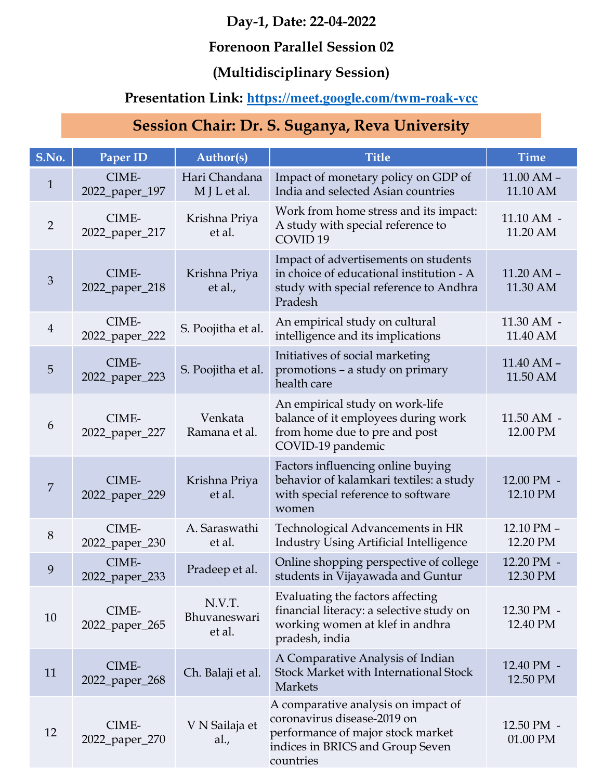#### Forenoon Parallel Session 02

## (Multidisciplinary Session)

## Presentation Link: https://meet.google.com/twm-roak-vcc

| Day-1, Date: 22-04-2022<br><b>Forenoon Parallel Session 02</b><br>(Multidisciplinary Session)<br><b>Presentation Link: https://meet.google.com/twm-roak-vcc</b> |                                                |                                  |                                                                                                                                                          |                            |
|-----------------------------------------------------------------------------------------------------------------------------------------------------------------|------------------------------------------------|----------------------------------|----------------------------------------------------------------------------------------------------------------------------------------------------------|----------------------------|
|                                                                                                                                                                 | Session Chair: Dr. S. Suganya, Reva University |                                  |                                                                                                                                                          |                            |
| S.No.                                                                                                                                                           | Paper ID                                       | Author(s)                        | <b>Title</b>                                                                                                                                             | <b>Time</b>                |
| $\mathbf{1}$                                                                                                                                                    | CIME-<br>2022_paper_197                        | Hari Chandana<br>M J L et al.    | Impact of monetary policy on GDP of<br>India and selected Asian countries                                                                                | $11.00$ AM $-$<br>11.10 AM |
| $\overline{2}$                                                                                                                                                  | CIME-<br>2022_paper_217                        | Krishna Priya<br>et al.          | Work from home stress and its impact:<br>A study with special reference to<br>COVID <sub>19</sub>                                                        | $11.10$ AM $-$<br>11.20 AM |
| 3                                                                                                                                                               | CIME-<br>2022_paper_218                        | Krishna Priya<br>et al.,         | Impact of advertisements on students<br>in choice of educational institution - A<br>study with special reference to Andhra<br>Pradesh                    | $11.20$ AM $-$<br>11.30 AM |
| $\overline{4}$                                                                                                                                                  | CIME-<br>2022_paper_222                        | S. Poojitha et al.               | An empirical study on cultural<br>intelligence and its implications                                                                                      | 11.30 AM -<br>11.40 AM     |
| 5                                                                                                                                                               | CIME-<br>2022_paper_223                        | S. Poojitha et al.               | Initiatives of social marketing<br>promotions - a study on primary<br>health care                                                                        | $11.40$ AM $-$<br>11.50 AM |
| 6                                                                                                                                                               | CIME-<br>2022_paper_227                        | Venkata<br>Ramana et al.         | An empirical study on work-life<br>balance of it employees during work<br>from home due to pre and post<br>COVID-19 pandemic                             | $11.50$ AM $-$<br>12.00 PM |
| $\overline{7}$                                                                                                                                                  | CIME-<br>2022_paper_229                        | Krishna Priya<br>et al.          | Factors influencing online buying<br>behavior of kalamkari textiles: a study<br>with special reference to software<br>women                              | 12.00 PM -<br>12.10 PM     |
| 8                                                                                                                                                               | CIME-<br>2022_paper_230                        | A. Saraswathi<br>et al.          | Technological Advancements in HR<br><b>Industry Using Artificial Intelligence</b>                                                                        | 12.10 PM -<br>12.20 PM     |
| 9                                                                                                                                                               | CIME-<br>2022_paper_233                        | Pradeep et al.                   | Online shopping perspective of college<br>students in Vijayawada and Guntur                                                                              | 12.20 PM -<br>12.30 PM     |
| 10                                                                                                                                                              | CIME-<br>2022_paper_265                        | N.V.T.<br>Bhuvaneswari<br>et al. | Evaluating the factors affecting<br>financial literacy: a selective study on<br>working women at klef in andhra<br>pradesh, india                        | 12.30 PM -<br>12.40 PM     |
| 11                                                                                                                                                              | CIME-<br>2022_paper_268                        | Ch. Balaji et al.                | A Comparative Analysis of Indian<br><b>Stock Market with International Stock</b><br>Markets                                                              | 12.40 PM -<br>12.50 PM     |
| 12                                                                                                                                                              | CIME-<br>2022_paper_270                        | V N Sailaja et<br>al.,           | A comparative analysis on impact of<br>coronavirus disease-2019 on<br>performance of major stock market<br>indices in BRICS and Group Seven<br>countries | 12.50 PM -<br>01.00 PM     |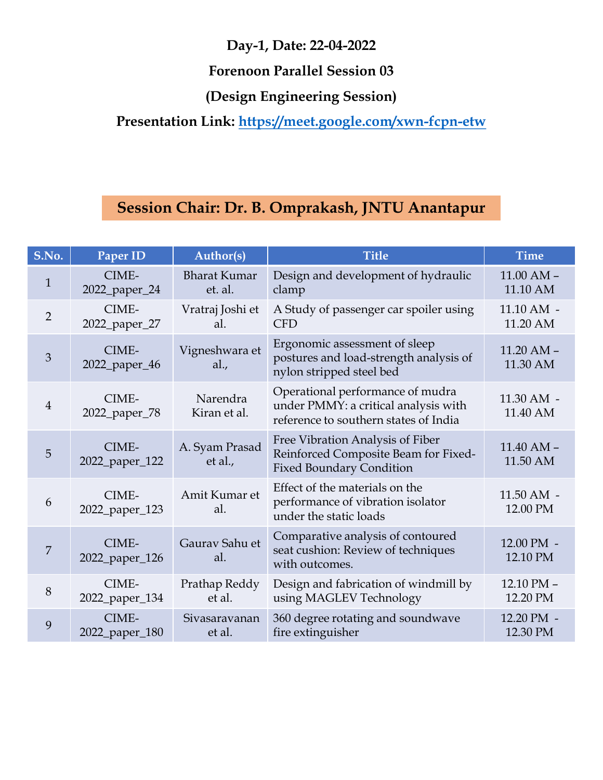#### Forenoon Parallel Session 03

|                |                         |                                                                                                                                            | Day-1, Date: 22-04-2022                                                                                           |                            |  |  |
|----------------|-------------------------|--------------------------------------------------------------------------------------------------------------------------------------------|-------------------------------------------------------------------------------------------------------------------|----------------------------|--|--|
|                |                         |                                                                                                                                            | <b>Forenoon Parallel Session 03</b>                                                                               |                            |  |  |
|                |                         |                                                                                                                                            |                                                                                                                   |                            |  |  |
|                |                         | (Design Engineering Session)<br>Presentation Link: https://meet.google.com/xwn-fcpn-etw<br>Session Chair: Dr. B. Omprakash, JNTU Anantapur |                                                                                                                   |                            |  |  |
|                |                         |                                                                                                                                            |                                                                                                                   |                            |  |  |
| S.No.          | Paper ID                | <b>Author(s)</b>                                                                                                                           | <b>Title</b>                                                                                                      | <b>Time</b>                |  |  |
| $\mathbf{1}$   | CIME-<br>2022_paper_24  | <b>Bharat Kumar</b><br>et. al.                                                                                                             | Design and development of hydraulic<br>clamp                                                                      | $11.00$ AM $-$<br>11.10 AM |  |  |
| $\overline{2}$ | CIME-<br>2022_paper_27  | Vratraj Joshi et<br>al.                                                                                                                    | A Study of passenger car spoiler using<br><b>CFD</b>                                                              | $11.10$ AM $-$<br>11.20 AM |  |  |
| $\mathfrak{Z}$ | CIME-<br>2022_paper_46  | Vigneshwara et<br>al.,                                                                                                                     | Ergonomic assessment of sleep<br>postures and load-strength analysis of<br>nylon stripped steel bed               | $11.20$ AM $-$<br>11.30 AM |  |  |
| $\overline{4}$ | CIME-<br>2022_paper_78  | Narendra<br>Kiran et al.                                                                                                                   | Operational performance of mudra<br>under PMMY: a critical analysis with<br>reference to southern states of India | 11.30 AM -<br>11.40 AM     |  |  |
| 5 <sup>5</sup> | CIME-<br>2022_paper_122 | A. Syam Prasad<br>et al.,                                                                                                                  | Free Vibration Analysis of Fiber<br>Reinforced Composite Beam for Fixed-<br><b>Fixed Boundary Condition</b>       | $11.40$ AM $-$<br>11.50 AM |  |  |
| 6              | CIME-<br>2022_paper_123 | Amit Kumar et<br>al.                                                                                                                       | Effect of the materials on the<br>performance of vibration isolator<br>under the static loads                     | $11.50$ AM $-$<br>12.00 PM |  |  |
| $\overline{7}$ | CIME-<br>2022_paper_126 | Gaurav Sahu et<br>al.                                                                                                                      | Comparative analysis of contoured<br>seat cushion: Review of techniques<br>with outcomes.                         | 12.00 PM -<br>12.10 PM     |  |  |
| 8              | CIME-<br>2022_paper_134 | Prathap Reddy<br>et al.                                                                                                                    | Design and fabrication of windmill by<br>using MAGLEV Technology                                                  | 12.10 PM -<br>12.20 PM     |  |  |
| 9              | CIME-<br>2022_paper_180 | Sivasaravanan<br>et al.                                                                                                                    | 360 degree rotating and soundwave<br>fire extinguisher                                                            | 12.20 PM -<br>12.30 PM     |  |  |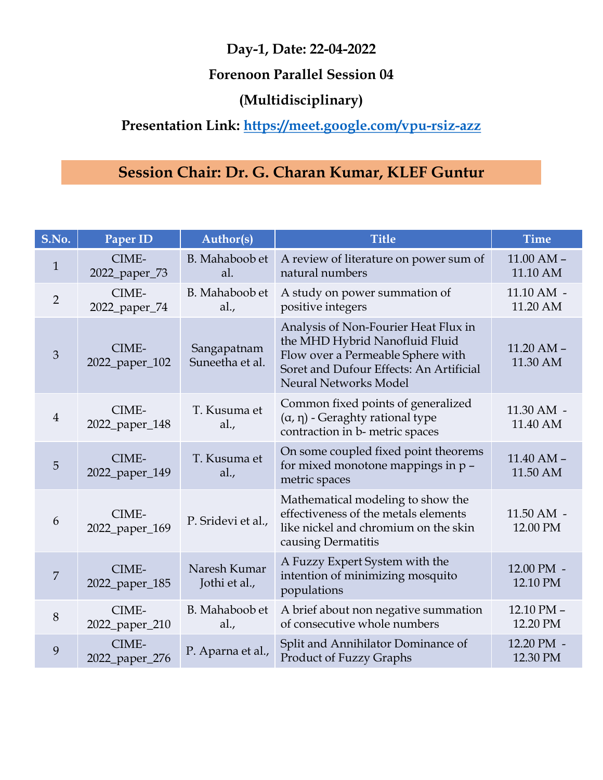#### Forenoon Parallel Session 04

## (Multidisciplinary)

## Presentation Link: https://meet.google.com/vpu-rsiz-azz

|                |                                                         |                                | Day-1, Date: 22-04-2022<br><b>Forenoon Parallel Session 04</b>                                                                                                                  |                            |
|----------------|---------------------------------------------------------|--------------------------------|---------------------------------------------------------------------------------------------------------------------------------------------------------------------------------|----------------------------|
|                | Presentation Link: https://meet.google.com/vpu-rsiz-azz |                                |                                                                                                                                                                                 |                            |
|                |                                                         |                                | Session Chair: Dr. G. Charan Kumar, KLEF Guntur                                                                                                                                 |                            |
| S.No.          | Paper ID                                                | <b>Author(s)</b>               | <b>Title</b>                                                                                                                                                                    | <b>Time</b>                |
| $\mathbf{1}$   | CIME-<br>2022_paper_73                                  | B. Mahaboob et<br>al.          | A review of literature on power sum of<br>natural numbers                                                                                                                       | $11.00$ AM $-$<br>11.10 AM |
| $\overline{2}$ | CIME-<br>2022_paper_74                                  | B. Mahaboob et<br>al.,         | A study on power summation of<br>positive integers                                                                                                                              | $11.10$ AM $-$<br>11.20 AM |
| 3              | CIME-<br>2022_paper_102                                 | Sangapatnam<br>Suneetha et al. | Analysis of Non-Fourier Heat Flux in<br>the MHD Hybrid Nanofluid Fluid<br>Flow over a Permeable Sphere with<br>Soret and Dufour Effects: An Artificial<br>Neural Networks Model | $11.20$ AM $-$<br>11.30 AM |
| $\overline{4}$ | CIME-<br>2022_paper_148                                 | T. Kusuma et<br>al.,           | Common fixed points of generalized<br>$(\alpha, \eta)$ - Geraghty rational type<br>contraction in b- metric spaces                                                              | 11.30 AM -<br>11.40 AM     |
| 5              | CIME-<br>2022_paper_149                                 | T. Kusuma et<br>al.,           | On some coupled fixed point theorems<br>for mixed monotone mappings in p -<br>metric spaces                                                                                     | $11.40$ AM $-$<br>11.50 AM |
| 6              | CIME-<br>2022_paper_169                                 | P. Sridevi et al.,             | Mathematical modeling to show the<br>effectiveness of the metals elements<br>like nickel and chromium on the skin<br>causing Dermatitis                                         | $11.50$ AM $-$<br>12.00 PM |
| 7              | CIME-<br>2022_paper_185                                 | Naresh Kumar<br>Jothi et al.,  | A Fuzzy Expert System with the<br>intention of minimizing mosquito<br>populations                                                                                               | 12.00 PM -<br>12.10 PM     |
| $8\,$          | CIME-<br>2022_paper_210                                 | B. Mahaboob et<br>al.,         | A brief about non negative summation<br>of consecutive whole numbers                                                                                                            | 12.10 PM -<br>12.20 PM     |
| 9              | CIME-<br>2022_paper_276                                 | P. Aparna et al.,              | Split and Annihilator Dominance of<br>Product of Fuzzy Graphs                                                                                                                   | 12.20 PM -<br>12.30 PM     |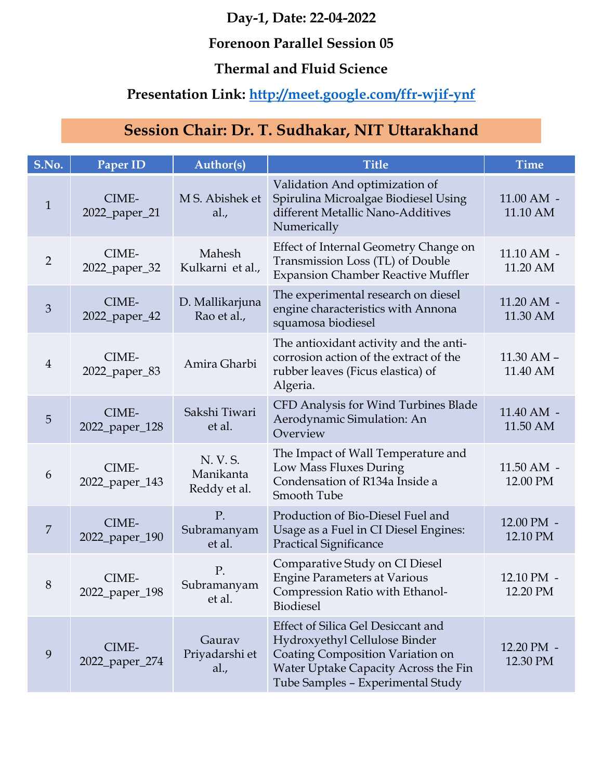#### Forenoon Parallel Session 05

#### Thermal and Fluid Science

## Presentation Link: http://meet.google.com/ffr-wjif-ynf

| Day-1, Date: 22-04-2022<br><b>Forenoon Parallel Session 05</b><br><b>Thermal and Fluid Science</b><br>Presentation Link: http://meet.google.com/ffr-wjif-ynf<br>Session Chair: Dr. T. Sudhakar, NIT Uttarakhand |                                    |                                       |                                                                                                                                                                                             |                                           |
|-----------------------------------------------------------------------------------------------------------------------------------------------------------------------------------------------------------------|------------------------------------|---------------------------------------|---------------------------------------------------------------------------------------------------------------------------------------------------------------------------------------------|-------------------------------------------|
|                                                                                                                                                                                                                 |                                    |                                       |                                                                                                                                                                                             |                                           |
| S.No.<br>$\mathbf{1}$                                                                                                                                                                                           | Paper ID<br>CIME-<br>2022_paper_21 | Author(s)<br>M S. Abishek et<br>al.,  | <b>Title</b><br>Validation And optimization of<br>Spirulina Microalgae Biodiesel Using<br>different Metallic Nano-Additives<br>Numerically                                                  | <b>Time</b><br>$11.00$ AM $-$<br>11.10 AM |
| $\overline{2}$                                                                                                                                                                                                  | CIME-<br>2022_paper_32             | Mahesh<br>Kulkarni et al.,            | Effect of Internal Geometry Change on<br>Transmission Loss (TL) of Double<br><b>Expansion Chamber Reactive Muffler</b>                                                                      | $11.10$ AM $-$<br>11.20 AM                |
| $\mathfrak{Z}$                                                                                                                                                                                                  | CIME-<br>2022_paper_42             | D. Mallikarjuna<br>Rao et al.,        | The experimental research on diesel<br>engine characteristics with Annona<br>squamosa biodiesel                                                                                             | $11.20$ AM $-$<br>11.30 AM                |
| $\overline{4}$                                                                                                                                                                                                  | CIME-<br>2022_paper_83             | Amira Gharbi                          | The antioxidant activity and the anti-<br>corrosion action of the extract of the<br>rubber leaves (Ficus elastica) of<br>Algeria.                                                           | $11.30$ AM $-$<br>11.40 AM                |
| $5\phantom{.}$                                                                                                                                                                                                  | CIME-<br>2022_paper_128            | Sakshi Tiwari<br>et al.               | CFD Analysis for Wind Turbines Blade<br>Aerodynamic Simulation: An<br>Overview                                                                                                              | 11.40 AM -<br>11.50 AM                    |
| 6                                                                                                                                                                                                               | CIME-<br>2022_paper_143            | N. V. S.<br>Manikanta<br>Reddy et al. | The Impact of Wall Temperature and<br>Low Mass Fluxes During<br>Condensation of R134a Inside a<br>Smooth Tube                                                                               | $11.50$ AM $-$<br>12.00 PM                |
| $\overline{7}$                                                                                                                                                                                                  | CIME-<br>2022_paper_190            | P.<br>Subramanyam<br>et al.           | Production of Bio-Diesel Fuel and<br>Usage as a Fuel in CI Diesel Engines:<br><b>Practical Significance</b>                                                                                 | 12.00 PM -<br>12.10 PM                    |
| 8                                                                                                                                                                                                               | CIME-<br>2022_paper_198            | P.<br>Subramanyam<br>et al.           | Comparative Study on CI Diesel<br><b>Engine Parameters at Various</b><br>Compression Ratio with Ethanol-<br><b>Biodiesel</b>                                                                | 12.10 PM -<br>12.20 PM                    |
| 9                                                                                                                                                                                                               | CIME-<br>2022_paper_274            | Gaurav<br>Priyadarshi et<br>al.,      | <b>Effect of Silica Gel Desiccant and</b><br>Hydroxyethyl Cellulose Binder<br>Coating Composition Variation on<br>Water Uptake Capacity Across the Fin<br>Tube Samples - Experimental Study | 12.20 PM -<br>12.30 PM                    |